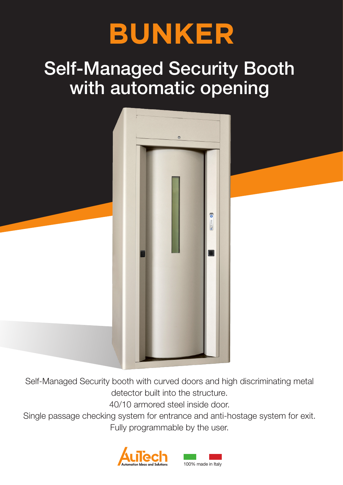

# Self-Managed Security Booth with automatic opening



Self-Managed Security booth with curved doors and high discriminating metal detector built into the structure.

40/10 armored steel inside door.

Single passage checking system for entrance and anti-hostage system for exit. Fully programmable by the user.

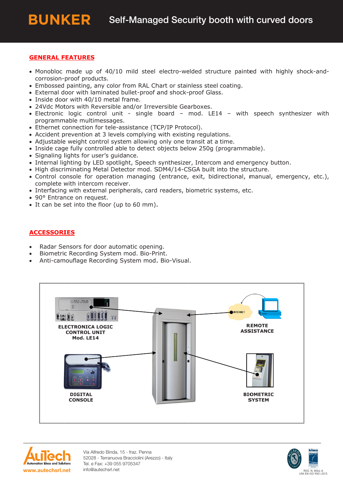#### **GENERAL FEATURES**

- Monobloc made up of 40/10 mild steel electro-welded structure painted with highly shock-andcorrosion-proof products.
- Embossed painting, any color from RAL Chart or stainless steel coating.
- External door with laminated bullet-proof and shock-proof Glass.
- Inside door with 40/10 metal frame.
- 24Vdc Motors with Reversible and/or Irreversible Gearboxes.
- · Electronic logic control unit single board mod. LE14 with speech synthesizer with programmable multimessages.
- Ethernet connection for tele-assistance (TCP/IP Protocol).
- Accident prevention at 3 levels complying with existing regulations.
- Adjustable weight control system allowing only one transit at a time.
- Inside cage fully controlled able to detect objects below 250g (programmable).
- Signaling lights for user's guidance.
- Internal lighting by LED spotlight, Speech synthesizer, Intercom and emergency button.
- . High discriminating Metal Detector mod, SDM4/14-CSGA built into the structure.
- · Control console for operation managing (entrance, exit, bidirectional, manual, emergency, etc.), complete with intercom receiver.
- Interfacing with external peripherals, card readers, biometric systems, etc.
- 90° Entrance on request.
- It can be set into the floor (up to 60 mm).

#### **ACCESSORIES**

- Radar Sensors for door automatic opening.
- Biometric Recording System mod. Bio-Print.
- Anti-camouflage Recording System mod. Bio-Visual.





Via Alfredo Binda, 15 - fraz. Penna 52028 - Terranuova Bracciolini (Arezzo) - Italy Tel. e Fax: +39 055 9705347 info@autechsrl.net